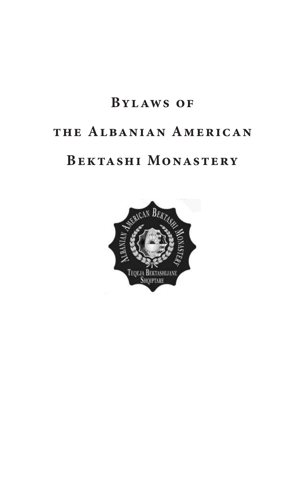## **Byl aws of**

# **the Albanian American**

# **Bektashi Monastery**

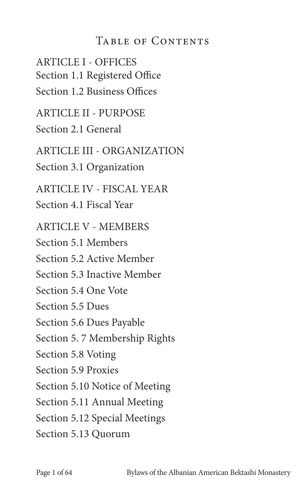## TABLE OF CONTENTS

ARTICLE I - OFFICES Section 1.1 Registered Office Section 1.2 Business Offices

ARTICLE II - PURPOSE Section 2.1 General

ARTICLE III - ORGANIZATION

Section 3.1 Organization

ARTICLE IV - FISCAL YEAR

Section 4.1 Fiscal Year

ARTICLE V - MEMBERS

Section 5.1 Members

Section 5.2 Active Member

Section 5.3 Inactive Member

Section 5.4 One Vote

Section 5.5 Dues

Section 5.6 Dues Payable

Section 5. 7 Membership Rights

Section 5.8 Voting

Section 5.9 Proxies

Section 5.10 Notice of Meeting

Section 5.11 Annual Meeting

Section 5.12 Special Meetings

Section 5.13 Quorum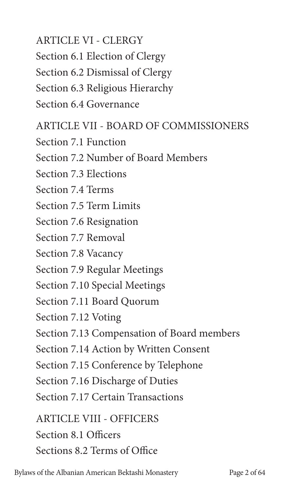ARTICLE VI - CLERGY

Section 6.1 Election of Clergy

Section 6.2 Dismissal of Clergy

Section 6.3 Religious Hierarchy

Section 6.4 Governance

ARTICLE VII - BOARD OF COMMISSIONERS

Section 7.1 Function

Section 7.2 Number of Board Members

Section 7.3 Elections

Section 7.4 Terms

Section 7.5 Term Limits

Section 7.6 Resignation

Section 7.7 Removal

Section 7.8 Vacancy

Section 7.9 Regular Meetings

Section 7.10 Special Meetings

Section 7.11 Board Quorum

Section 7.12 Voting

Section 7.13 Compensation of Board members

Section 7.14 Action by Written Consent

Section 7.15 Conference by Telephone

Section 7.16 Discharge of Duties

Section 7.17 Certain Transactions

ARTICLE VIII - OFFICERS

Section 8.1 Officers

Sections 8.2 Terms of Office

Bylaws of the Albanian American Bektashi Monastery Page 2 of 64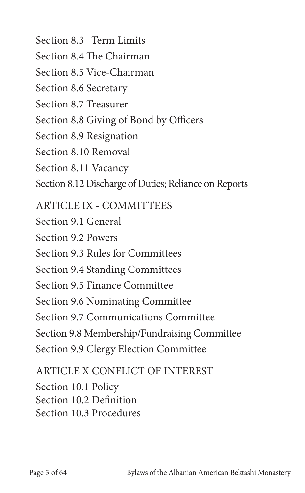- Section 8.3 Term Limits
- Section 8.4 The Chairman
- Section 8.5 Vice-Chairman
- Section 8.6 Secretary
- Section 8.7 Treasurer
- Section 8.8 Giving of Bond by Officers
- Section 8.9 Resignation
- Section 8.10 Removal
- Section 8.11 Vacancy
- Section 8.12 Discharge of Duties; Reliance on Reports
- ARTICLE IX COMMITTEES
- Section 9.1 General
- Section 9.2 Powers
- Section 9.3 Rules for Committees
- Section 9.4 Standing Committees
- Section 9.5 Finance Committee
- Section 9.6 Nominating Committee
- Section 9.7 Communications Committee
- Section 9.8 Membership/Fundraising Committee
- Section 9.9 Clergy Election Committee
- ARTICLE X CONFLICT OF INTEREST
- Section 10.1 Policy
- Section 10.2 Definition
- Section 10.3 Procedures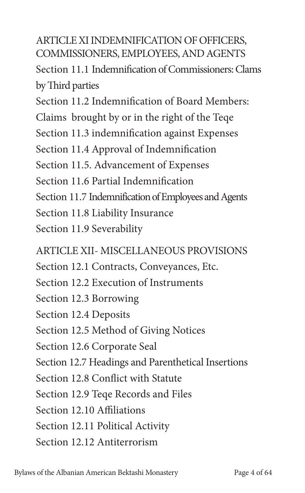## ARTICLE XI INDEMNIFICATION OF OFFICERS, COMMISSIONERS, EMPLOYEES, AND AGENTS

Section 11.1 Indemnification of Commissioners: Clams by Third parties

Section 11.2 Indemnification of Board Members:

Claims brought by or in the right of the Teqe

Section 11.3 indemnification against Expenses

Section 11.4 Approval of Indemnification

Section 11.5. Advancement of Expenses

Section 11.6 Partial Indemnification

Section 11.7 Indemnification of Employees and Agents

Section 11.8 Liability Insurance

Section 11.9 Severability

ARTICLE XII- MISCELLANEOUS PROVISIONS

Section 12.1 Contracts, Conveyances, Etc.

Section 12.2 Execution of Instruments

Section 12.3 Borrowing

Section 12.4 Deposits

Section 12.5 Method of Giving Notices

Section 12.6 Corporate Seal

Section 12.7 Headings and Parenthetical Insertions

Section 12.8 Conflict with Statute

Section 12.9 Teqe Records and Files

Section 12.10 Affiliations

Section 12.11 Political Activity

Section 12.12 Antiterrorism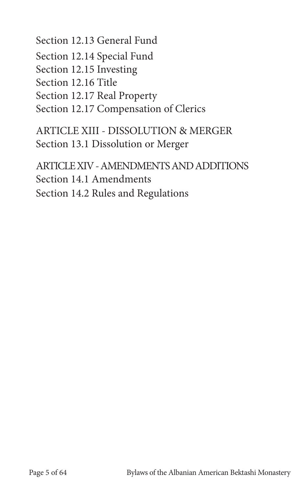Section 12.13 General Fund Section 12.14 Special Fund Section 12.15 Investing Section 12.16 Title Section 12.17 Real Property Section 12.17 Compensation of Clerics

ARTICLE XIII - DISSOLUTION & MERGER Section 13.1 Dissolution or Merger

ARTICLE XIV - AMENDMENTS AND ADDITIONS Section 14.1 Amendments Section 14.2 Rules and Regulations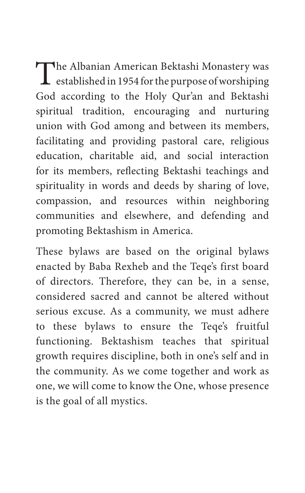The Albanian American Bektashi Monastery was established in 1954 for the purpose of worshiping God according to the Holy Qur'an and Bektashi spiritual tradition, encouraging and nurturing union with God among and between its members, facilitating and providing pastoral care, religious education, charitable aid, and social interaction for its members, reflecting Bektashi teachings and spirituality in words and deeds by sharing of love, compassion, and resources within neighboring communities and elsewhere, and defending and promoting Bektashism in America.

These bylaws are based on the original bylaws enacted by Baba Rexheb and the Teqe's first board of directors. Therefore, they can be, in a sense, considered sacred and cannot be altered without serious excuse. As a community, we must adhere to these bylaws to ensure the Teqe's fruitful functioning. Bektashism teaches that spiritual growth requires discipline, both in one's self and in the community. As we come together and work as one, we will come to know the One, whose presence is the goal of all mystics.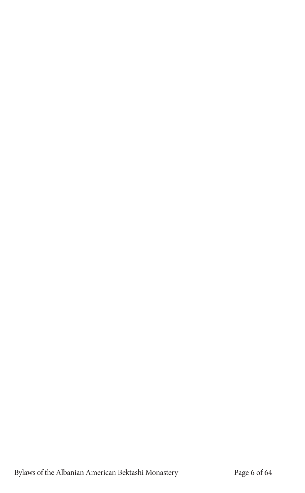Bylaws of the Albanian American Bektashi Monastery Page 6 of 64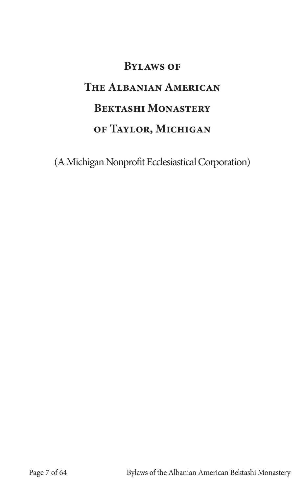## **Bylaws of**

# **The Albanıan American Bektashi Monastery of Taylor, Mıchıgan**

(A Michigan Nonprofit Ecclesiastical Corporation)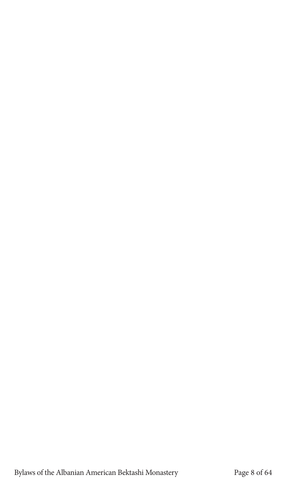Bylaws of the Albanian American Bektashi Monastery Page 8 of 64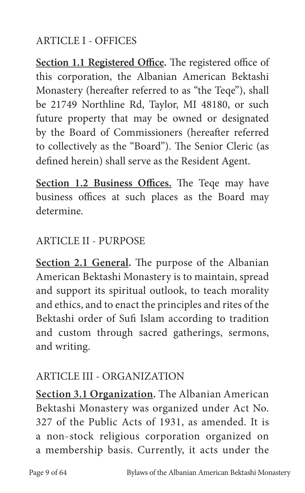## ARTICLE I - OFFICES

**Section 1.1 Registered Office.** The registered office of this corporation, the Albanian American Bektashi Monastery (hereafter referred to as "the Teqe"), shall be 21749 Northline Rd, Taylor, MI 48180, or such future property that may be owned or designated by the Board of Commissioners (hereafter referred to collectively as the "Board"). The Senior Cleric (as defined herein) shall serve as the Resident Agent.

**Section 1.2 Business Offices.** The Teqe may have business offices at such places as the Board may determine.

## ARTICLE II - PURPOSE

**Section 2.1 General.** The purpose of the Albanian American Bektashi Monastery is to maintain, spread and support its spiritual outlook, to teach morality and ethics, and to enact the principles and rites of the Bektashi order of Sufi Islam according to tradition and custom through sacred gatherings, sermons, and writing.

## ARTICLE III - ORGANIZATION

**Section 3.1 Organization.** The Albanian American Bektashi Monastery was organized under Act No. 327 of the Public Acts of 1931, as amended. It is a non-stock religious corporation organized on a membership basis. Currently, it acts under the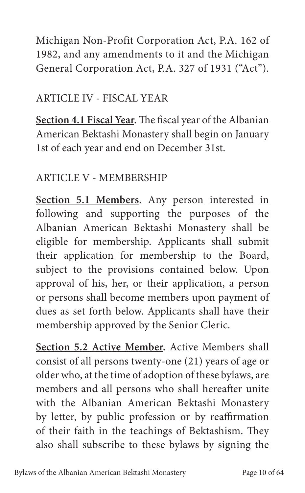Michigan Non-Profit Corporation Act, P.A. 162 of 1982, and any amendments to it and the Michigan General Corporation Act, P.A. 327 of 1931 ("Act").

## ARTICLE IV - FISCAL YEAR

**Section 4.1 Fiscal Year.** The fiscal year of the Albanian American Bektashi Monastery shall begin on January 1st of each year and end on December 31st.

## ARTICLE V - MEMBERSHIP

**Section 5.1 Members.** Any person interested in following and supporting the purposes of the Albanian American Bektashi Monastery shall be eligible for membership. Applicants shall submit their application for membership to the Board, subject to the provisions contained below. Upon approval of his, her, or their application, a person or persons shall become members upon payment of dues as set forth below. Applicants shall have their membership approved by the Senior Cleric.

**Section 5.2 Active Member.** Active Members shall consist of all persons twenty-one (21) years of age or older who, at the time of adoption of these bylaws, are members and all persons who shall hereafter unite with the Albanian American Bektashi Monastery by letter, by public profession or by reaffirmation of their faith in the teachings of Bektashism. They also shall subscribe to these bylaws by signing the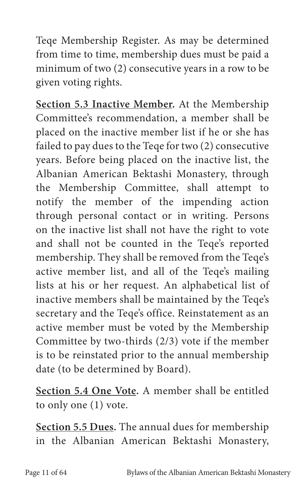Teqe Membership Register. As may be determined from time to time, membership dues must be paid a minimum of two (2) consecutive years in a row to be given voting rights.

**Section 5.3 Inactive Member.** At the Membership Committee's recommendation, a member shall be placed on the inactive member list if he or she has failed to pay dues to the Teqe for two (2) consecutive years. Before being placed on the inactive list, the Albanian American Bektashi Monastery, through the Membership Committee, shall attempt to notify the member of the impending action through personal contact or in writing. Persons on the inactive list shall not have the right to vote and shall not be counted in the Teqe's reported membership. They shall be removed from the Teqe's active member list, and all of the Teqe's mailing lists at his or her request. An alphabetical list of inactive members shall be maintained by the Teqe's secretary and the Teqe's office. Reinstatement as an active member must be voted by the Membership Committee by two-thirds (2/3) vote if the member is to be reinstated prior to the annual membership date (to be determined by Board).

**Section 5.4 One Vote.** A member shall be entitled to only one (1) vote.

**Section 5.5 Dues.** The annual dues for membership in the Albanian American Bektashi Monastery,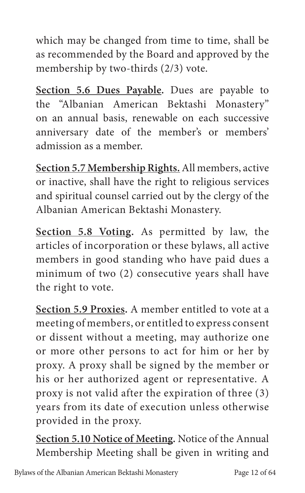which may be changed from time to time, shall be as recommended by the Board and approved by the membership by two-thirds (2/3) vote.

**Section 5.6 Dues Payable.** Dues are payable to the "Albanian American Bektashi Monastery" on an annual basis, renewable on each successive anniversary date of the member's or members' admission as a member.

**Section 5.7 Membership Rights.** All members, active or inactive, shall have the right to religious services and spiritual counsel carried out by the clergy of the Albanian American Bektashi Monastery.

**Section 5.8 Voting.** As permitted by law, the articles of incorporation or these bylaws, all active members in good standing who have paid dues a minimum of two (2) consecutive years shall have the right to vote.

**Section 5.9 Proxies.** A member entitled to vote at a meeting of members, or entitled to express consent or dissent without a meeting, may authorize one or more other persons to act for him or her by proxy. A proxy shall be signed by the member or his or her authorized agent or representative. A proxy is not valid after the expiration of three (3) years from its date of execution unless otherwise provided in the proxy.

**Section 5.10 Notice of Meeting.** Notice of the Annual Membership Meeting shall be given in writing and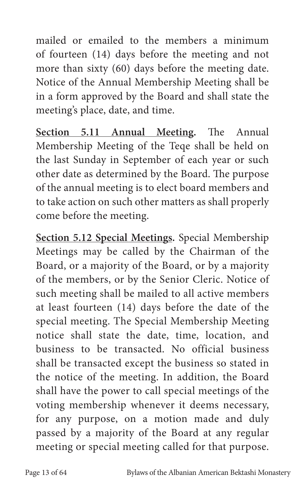mailed or emailed to the members a minimum of fourteen (14) days before the meeting and not more than sixty (60) days before the meeting date. Notice of the Annual Membership Meeting shall be in a form approved by the Board and shall state the meeting's place, date, and time.

**Section 5.11 Annual Meeting.** The Annual Membership Meeting of the Teqe shall be held on the last Sunday in September of each year or such other date as determined by the Board. The purpose of the annual meeting is to elect board members and to take action on such other matters as shall properly come before the meeting.

**Section 5.12 Special Meetings.** Special Membership Meetings may be called by the Chairman of the Board, or a majority of the Board, or by a majority of the members, or by the Senior Cleric. Notice of such meeting shall be mailed to all active members at least fourteen (14) days before the date of the special meeting. The Special Membership Meeting notice shall state the date, time, location, and business to be transacted. No official business shall be transacted except the business so stated in the notice of the meeting. In addition, the Board shall have the power to call special meetings of the voting membership whenever it deems necessary, for any purpose, on a motion made and duly passed by a majority of the Board at any regular meeting or special meeting called for that purpose.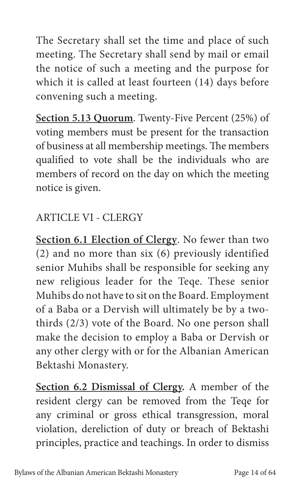The Secretary shall set the time and place of such meeting. The Secretary shall send by mail or email the notice of such a meeting and the purpose for which it is called at least fourteen (14) days before convening such a meeting.

**Section 5.13 Quorum**. Twenty-Five Percent (25%) of voting members must be present for the transaction of business at all membership meetings. The members qualified to vote shall be the individuals who are members of record on the day on which the meeting notice is given.

# ARTICLE VI - CLERGY

**Section 6.1 Election of Clergy**. No fewer than two (2) and no more than six (6) previously identified senior Muhibs shall be responsible for seeking any new religious leader for the Teqe. These senior Muhibs do not have to sit on the Board. Employment of a Baba or a Dervish will ultimately be by a twothirds (2/3) vote of the Board. No one person shall make the decision to employ a Baba or Dervish or any other clergy with or for the Albanian American Bektashi Monastery.

**Section 6.2 Dismissal of Clergy.** A member of the resident clergy can be removed from the Teqe for any criminal or gross ethical transgression, moral violation, dereliction of duty or breach of Bektashi principles, practice and teachings. In order to dismiss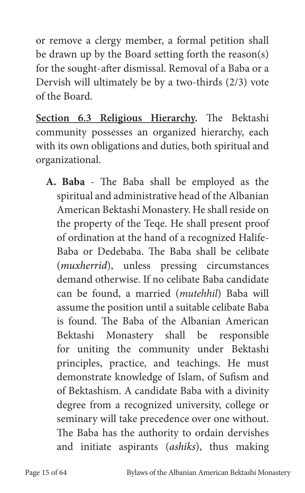or remove a clergy member, a formal petition shall be drawn up by the Board setting forth the reason(s) for the sought-after dismissal. Removal of a Baba or a Dervish will ultimately be by a two-thirds (2/3) vote of the Board.

**Section 6.3 Religious Hierarchy.** The Bektashi community possesses an organized hierarchy, each with its own obligations and duties, both spiritual and organizational.

**A. Baba** - The Baba shall be employed as the spiritual and administrative head of the Albanian American Bektashi Monastery. He shall reside on the property of the Teqe. He shall present proof of ordination at the hand of a recognized Halife-Baba or Dedebaba. The Baba shall be celibate (*muxherrid*), unless pressing circumstances demand otherwise. If no celibate Baba candidate can be found, a married (*mutehhil*) Baba will assume the position until a suitable celibate Baba is found. The Baba of the Albanian American Bektashi Monastery shall be responsible for uniting the community under Bektashi principles, practice, and teachings. He must demonstrate knowledge of Islam, of Sufism and of Bektashism. A candidate Baba with a divinity degree from a recognized university, college or seminary will take precedence over one without. The Baba has the authority to ordain dervishes and initiate aspirants (*ashiks*), thus making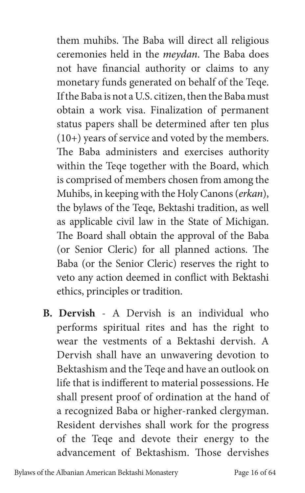them muhibs. The Baba will direct all religious ceremonies held in the *meydan*. The Baba does not have financial authority or claims to any monetary funds generated on behalf of the Teqe. If the Baba is not a U.S. citizen, then the Baba must obtain a work visa. Finalization of permanent status papers shall be determined after ten plus (10+) years of service and voted by the members. The Baba administers and exercises authority within the Teqe together with the Board, which is comprised of members chosen from among the Muhibs, in keeping with the Holy Canons (*erkan*), the bylaws of the Teqe, Bektashi tradition, as well as applicable civil law in the State of Michigan. The Board shall obtain the approval of the Baba (or Senior Cleric) for all planned actions. The Baba (or the Senior Cleric) reserves the right to veto any action deemed in conflict with Bektashi ethics, principles or tradition.

**B. Dervish** - A Dervish is an individual who performs spiritual rites and has the right to wear the vestments of a Bektashi dervish. A Dervish shall have an unwavering devotion to Bektashism and the Teqe and have an outlook on life that is indifferent to material possessions. He shall present proof of ordination at the hand of a recognized Baba or higher-ranked clergyman. Resident dervishes shall work for the progress of the Teqe and devote their energy to the advancement of Bektashism. Those dervishes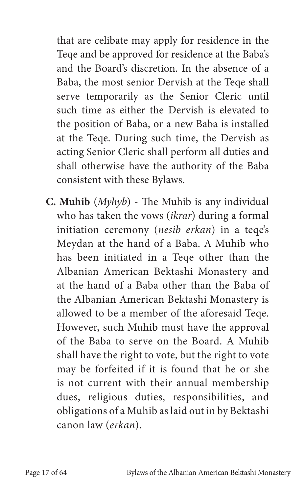that are celibate may apply for residence in the Teqe and be approved for residence at the Baba's and the Board's discretion. In the absence of a Baba, the most senior Dervish at the Teqe shall serve temporarily as the Senior Cleric until such time as either the Dervish is elevated to the position of Baba, or a new Baba is installed at the Teqe. During such time, the Dervish as acting Senior Cleric shall perform all duties and shall otherwise have the authority of the Baba consistent with these Bylaws.

**C. Muhib** (*Myhyb*) - The Muhib is any individual who has taken the vows (*ikrar*) during a formal initiation ceremony (*nesib erkan*) in a teqe's Meydan at the hand of a Baba. A Muhib who has been initiated in a Teqe other than the Albanian American Bektashi Monastery and at the hand of a Baba other than the Baba of the Albanian American Bektashi Monastery is allowed to be a member of the aforesaid Teqe. However, such Muhib must have the approval of the Baba to serve on the Board. A Muhib shall have the right to vote, but the right to vote may be forfeited if it is found that he or she is not current with their annual membership dues, religious duties, responsibilities, and obligations of a Muhib as laid out in by Bektashi canon law (*erkan*).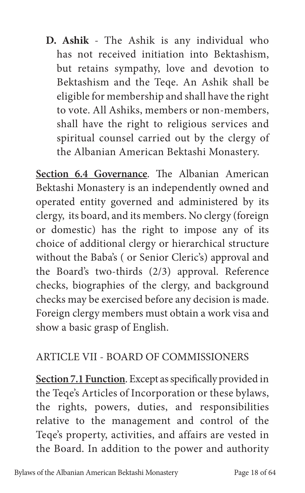**D. Ashik** - The Ashik is any individual who has not received initiation into Bektashism, but retains sympathy, love and devotion to Bektashism and the Teqe. An Ashik shall be eligible for membership and shall have the right to vote. All Ashiks, members or non-members, shall have the right to religious services and spiritual counsel carried out by the clergy of the Albanian American Bektashi Monastery.

**Section 6.4 Governance**. The Albanian American Bektashi Monastery is an independently owned and operated entity governed and administered by its clergy, its board, and its members. No clergy (foreign or domestic) has the right to impose any of its choice of additional clergy or hierarchical structure without the Baba's ( or Senior Cleric's) approval and the Board's two-thirds (2/3) approval. Reference checks, biographies of the clergy, and background checks may be exercised before any decision is made. Foreign clergy members must obtain a work visa and show a basic grasp of English.

## ARTICLE VII - BOARD OF COMMISSIONERS

**Section 7.1 Function**. Except as specifically provided in the Teqe's Articles of Incorporation or these bylaws, the rights, powers, duties, and responsibilities relative to the management and control of the Teqe's property, activities, and affairs are vested in the Board. In addition to the power and authority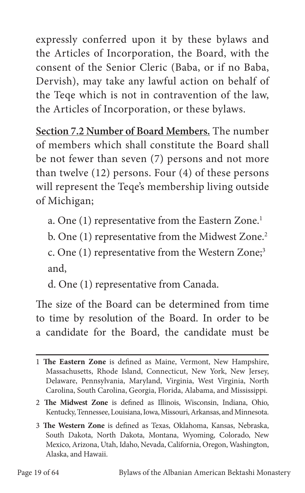expressly conferred upon it by these bylaws and the Articles of Incorporation, the Board, with the consent of the Senior Cleric (Baba, or if no Baba, Dervish), may take any lawful action on behalf of the Teqe which is not in contravention of the law, the Articles of Incorporation, or these bylaws.

**Section 7.2 Number of Board Members.** The number of members which shall constitute the Board shall be not fewer than seven (7) persons and not more than twelve (12) persons. Four (4) of these persons will represent the Teqe's membership living outside of Michigan;

a. One (1) representative from the Eastern Zone.<sup>1</sup>

b. One (1) representative from the Midwest Zone.<sup>2</sup>

c. One (1) representative from the Western Zone;<sup>3</sup> and,

d. One (1) representative from Canada.

The size of the Board can be determined from time to time by resolution of the Board. In order to be a candidate for the Board, the candidate must be

<sup>1</sup> **The Eastern Zone** is defined as Maine, Vermont, New Hampshire, Massachusetts, Rhode Island, Connecticut, New York, New Jersey, Delaware, Pennsylvania, Maryland, Virginia, West Virginia, North Carolina, South Carolina, Georgia, Florida, Alabama, and Mississippi.

<sup>2</sup> **The Midwest Zone** is defined as Illinois, Wisconsin, Indiana, Ohio, Kentucky, Tennessee, Louisiana, Iowa, Missouri, Arkansas, and Minnesota.

<sup>3</sup> **The Western Zone** is defined as Texas, Oklahoma, Kansas, Nebraska, South Dakota, North Dakota, Montana, Wyoming, Colorado, New Mexico, Arizona, Utah, Idaho, Nevada, California, Oregon, Washington, Alaska, and Hawaii.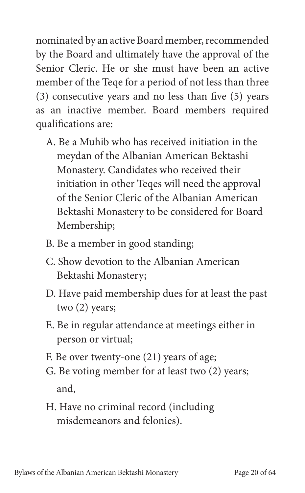nominated by an active Board member, recommended by the Board and ultimately have the approval of the Senior Cleric. He or she must have been an active member of the Teqe for a period of not less than three (3) consecutive years and no less than five (5) years as an inactive member. Board members required qualifications are:

- A. Be a Muhib who has received initiation in the meydan of the Albanian American Bektashi Monastery. Candidates who received their initiation in other Teqes will need the approval of the Senior Cleric of the Albanian American Bektashi Monastery to be considered for Board Membership;
- B. Be a member in good standing;
- C. Show devotion to the Albanian American Bektashi Monastery;
- D. Have paid membership dues for at least the past two (2) years;
- E. Be in regular attendance at meetings either in person or virtual;
- F. Be over twenty-one (21) years of age;
- G. Be voting member for at least two (2) years; and,
- H. Have no criminal record (including misdemeanors and felonies).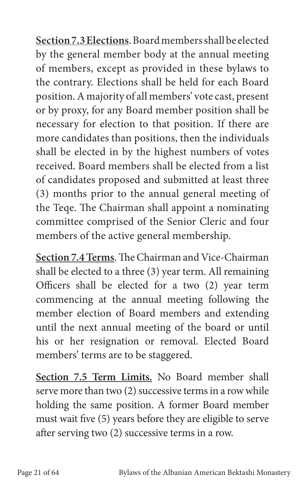**Section 7.3 Elections**. Board members shall be elected by the general member body at the annual meeting of members, except as provided in these bylaws to the contrary. Elections shall be held for each Board position. A majority of all members' vote cast, present or by proxy, for any Board member position shall be necessary for election to that position. If there are more candidates than positions, then the individuals shall be elected in by the highest numbers of votes received. Board members shall be elected from a list of candidates proposed and submitted at least three (3) months prior to the annual general meeting of the Teqe. The Chairman shall appoint a nominating committee comprised of the Senior Cleric and four members of the active general membership.

**Section 7.4 Terms**. The Chairman and Vice-Chairman shall be elected to a three (3) year term. All remaining Officers shall be elected for a two (2) year term commencing at the annual meeting following the member election of Board members and extending until the next annual meeting of the board or until his or her resignation or removal. Elected Board members' terms are to be staggered.

**Section 7.5 Term Limits.** No Board member shall serve more than two (2) successive terms in a row while holding the same position. A former Board member must wait five (5) years before they are eligible to serve after serving two (2) successive terms in a row.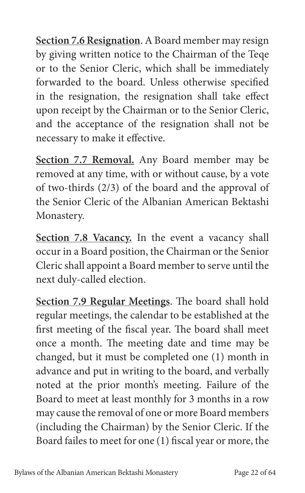**Section 7.6 Resignation**. A Board member may resign by giving written notice to the Chairman of the Teqe or to the Senior Cleric, which shall be immediately forwarded to the board. Unless otherwise specified in the resignation, the resignation shall take effect upon receipt by the Chairman or to the Senior Cleric, and the acceptance of the resignation shall not be necessary to make it effective.

**Section 7.7 Removal.** Any Board member may be removed at any time, with or without cause, by a vote of two-thirds (2/3) of the board and the approval of the Senior Cleric of the Albanian American Bektashi Monastery.

Section 7.8 Vacancy. In the event a vacancy shall occur in a Board position, the Chairman or the Senior Cleric shall appoint a Board member to serve until the next duly-called election.

**Section 7.9 Regular Meetings**. The board shall hold regular meetings, the calendar to be established at the first meeting of the fiscal year. The board shall meet once a month. The meeting date and time may be changed, but it must be completed one (1) month in advance and put in writing to the board, and verbally noted at the prior month's meeting. Failure of the Board to meet at least monthly for 3 months in a row may cause the removal of one or more Board members (including the Chairman) by the Senior Cleric. If the Board failes to meet for one (1) fiscal year or more, the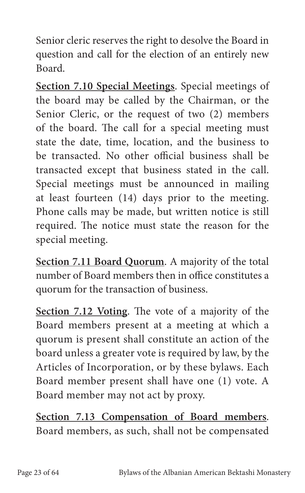Senior cleric reserves the right to desolve the Board in question and call for the election of an entirely new Board.

**Section 7.10 Special Meetings**. Special meetings of the board may be called by the Chairman, or the Senior Cleric, or the request of two (2) members of the board. The call for a special meeting must state the date, time, location, and the business to be transacted. No other official business shall be transacted except that business stated in the call. Special meetings must be announced in mailing at least fourteen (14) days prior to the meeting. Phone calls may be made, but written notice is still required. The notice must state the reason for the special meeting.

**Section 7.11 Board Quorum**. A majority of the total number of Board members then in office constitutes a quorum for the transaction of business.

**Section 7.12 Voting**. The vote of a majority of the Board members present at a meeting at which a quorum is present shall constitute an action of the board unless a greater vote is required by law, by the Articles of Incorporation, or by these bylaws. Each Board member present shall have one (1) vote. A Board member may not act by proxy.

**Section 7.13 Compensation of Board members**. Board members, as such, shall not be compensated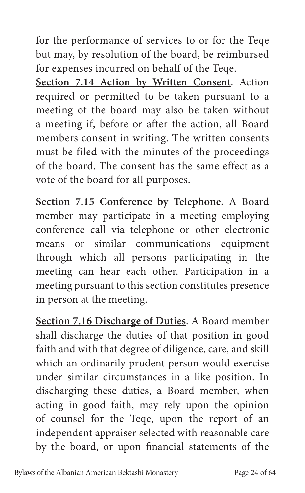for the performance of services to or for the Teqe but may, by resolution of the board, be reimbursed for expenses incurred on behalf of the Teqe.

**Section 7.14 Action by Written Consent**. Action required or permitted to be taken pursuant to a meeting of the board may also be taken without a meeting if, before or after the action, all Board members consent in writing. The written consents must be filed with the minutes of the proceedings of the board. The consent has the same effect as a vote of the board for all purposes.

**Section 7.15 Conference by Telephone.** A Board member may participate in a meeting employing conference call via telephone or other electronic means or similar communications equipment through which all persons participating in the meeting can hear each other. Participation in a meeting pursuant to this section constitutes presence in person at the meeting.

**Section 7.16 Discharge of Duties**. A Board member shall discharge the duties of that position in good faith and with that degree of diligence, care, and skill which an ordinarily prudent person would exercise under similar circumstances in a like position. In discharging these duties, a Board member, when acting in good faith, may rely upon the opinion of counsel for the Teqe, upon the report of an independent appraiser selected with reasonable care by the board, or upon financial statements of the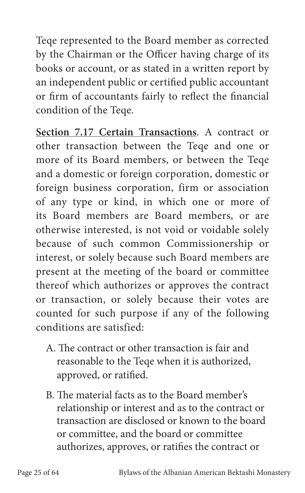Teqe represented to the Board member as corrected by the Chairman or the Officer having charge of its books or account, or as stated in a written report by an independent public or certified public accountant or firm of accountants fairly to reflect the financial condition of the Teqe.

**Section 7.17 Certain Transactions**. A contract or other transaction between the Teqe and one or more of its Board members, or between the Teqe and a domestic or foreign corporation, domestic or foreign business corporation, firm or association of any type or kind, in which one or more of its Board members are Board members, or are otherwise interested, is not void or voidable solely because of such common Commissionership or interest, or solely because such Board members are present at the meeting of the board or committee thereof which authorizes or approves the contract or transaction, or solely because their votes are counted for such purpose if any of the following conditions are satisfied:

- A. The contract or other transaction is fair and reasonable to the Teqe when it is authorized, approved, or ratified.
- B. The material facts as to the Board member's relationship or interest and as to the contract or transaction are disclosed or known to the board or committee, and the board or committee authorizes, approves, or ratifies the contract or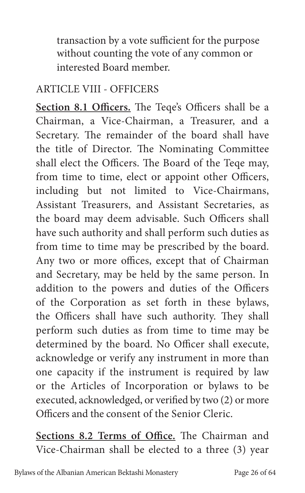transaction by a vote sufficient for the purpose without counting the vote of any common or interested Board member.

#### ARTICLE VIII - OFFICERS

**Section 8.1 Officers.** The Teqe's Officers shall be a Chairman, a Vice-Chairman, a Treasurer, and a Secretary. The remainder of the board shall have the title of Director. The Nominating Committee shall elect the Officers. The Board of the Teqe may, from time to time, elect or appoint other Officers, including but not limited to Vice-Chairmans, Assistant Treasurers, and Assistant Secretaries, as the board may deem advisable. Such Officers shall have such authority and shall perform such duties as from time to time may be prescribed by the board. Any two or more offices, except that of Chairman and Secretary, may be held by the same person. In addition to the powers and duties of the Officers of the Corporation as set forth in these bylaws, the Officers shall have such authority. They shall perform such duties as from time to time may be determined by the board. No Officer shall execute, acknowledge or verify any instrument in more than one capacity if the instrument is required by law or the Articles of Incorporation or bylaws to be executed, acknowledged, or verified by two (2) or more Officers and the consent of the Senior Cleric.

**Sections 8.2 Terms of Office.** The Chairman and Vice-Chairman shall be elected to a three (3) year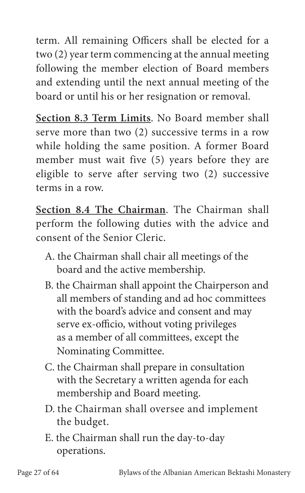term. All remaining Officers shall be elected for a two (2) year term commencing at the annual meeting following the member election of Board members and extending until the next annual meeting of the board or until his or her resignation or removal.

**Section 8.3 Term Limits**. No Board member shall serve more than two (2) successive terms in a row while holding the same position. A former Board member must wait five (5) years before they are eligible to serve after serving two (2) successive terms in a row.

**Section 8.4 The Chairman**. The Chairman shall perform the following duties with the advice and consent of the Senior Cleric.

- A. the Chairman shall chair all meetings of the board and the active membership.
- B. the Chairman shall appoint the Chairperson and all members of standing and ad hoc committees with the board's advice and consent and may serve ex-officio, without voting privileges as a member of all committees, except the Nominating Committee.
- C. the Chairman shall prepare in consultation with the Secretary a written agenda for each membership and Board meeting.
- D. the Chairman shall oversee and implement the budget.
- E. the Chairman shall run the day-to-day operations.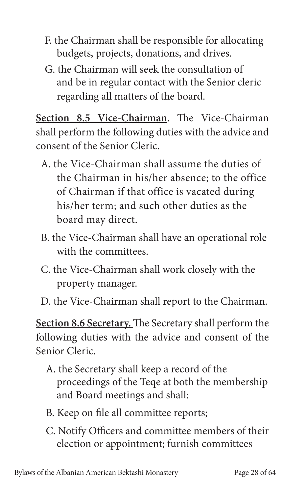- F. the Chairman shall be responsible for allocating budgets, projects, donations, and drives.
- G. the Chairman will seek the consultation of and be in regular contact with the Senior cleric regarding all matters of the board.

**Section 8.5 Vice-Chairman**. The Vice-Chairman shall perform the following duties with the advice and consent of the Senior Cleric.

- A. the Vice-Chairman shall assume the duties of the Chairman in his/her absence; to the office of Chairman if that office is vacated during his/her term; and such other duties as the board may direct.
- B. the Vice-Chairman shall have an operational role with the committees.
- C. the Vice-Chairman shall work closely with the property manager.
- D. the Vice-Chairman shall report to the Chairman.

**Section 8.6 Secretary.** The Secretary shall perform the following duties with the advice and consent of the Senior Cleric.

- A. the Secretary shall keep a record of the proceedings of the Teqe at both the membership and Board meetings and shall:
- B. Keep on file all committee reports;
- C. Notify Officers and committee members of their election or appointment; furnish committees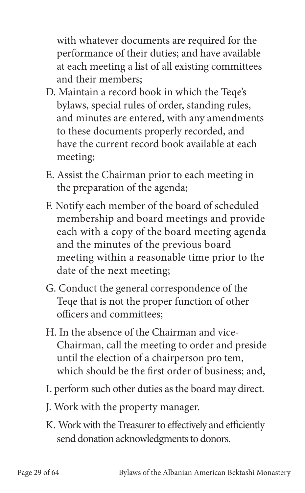with whatever documents are required for the performance of their duties; and have available at each meeting a list of all existing committees and their members;

- D. Maintain a record book in which the Teqe's bylaws, special rules of order, standing rules, and minutes are entered, with any amendments to these documents properly recorded, and have the current record book available at each meeting;
- E. Assist the Chairman prior to each meeting in the preparation of the agenda;
- F. Notify each member of the board of scheduled membership and board meetings and provide each with a copy of the board meeting agenda and the minutes of the previous board meeting within a reasonable time prior to the date of the next meeting;
- G. Conduct the general correspondence of the Teqe that is not the proper function of other officers and committees;
- H. In the absence of the Chairman and vice-Chairman, call the meeting to order and preside until the election of a chairperson pro tem, which should be the first order of business; and,
- I. perform such other duties as the board may direct.
- J. Work with the property manager.
- K. Work with the Treasurer to effectively and efficiently send donation acknowledgments to donors.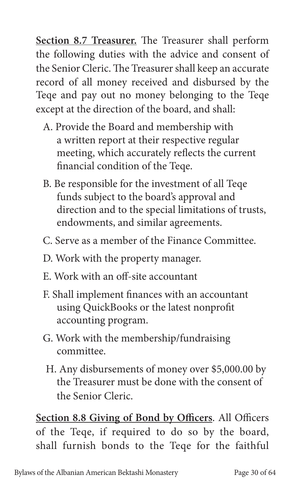**Section 8.7 Treasurer.** The Treasurer shall perform the following duties with the advice and consent of the Senior Cleric. The Treasurer shall keep an accurate record of all money received and disbursed by the Teqe and pay out no money belonging to the Teqe except at the direction of the board, and shall:

- A. Provide the Board and membership with a written report at their respective regular meeting, which accurately reflects the current financial condition of the Teqe.
- B. Be responsible for the investment of all Teqe funds subject to the board's approval and direction and to the special limitations of trusts, endowments, and similar agreements.
- C. Serve as a member of the Finance Committee.
- D. Work with the property manager.
- E. Work with an off-site accountant
- F. Shall implement finances with an accountant using QuickBooks or the latest nonprofit accounting program.
- G. Work with the membership/fundraising committee.
- H. Any disbursements of money over \$5,000.00 by the Treasurer must be done with the consent of the Senior Cleric.

**Section 8.8 Giving of Bond by Officers**. All Officers of the Teqe, if required to do so by the board, shall furnish bonds to the Teqe for the faithful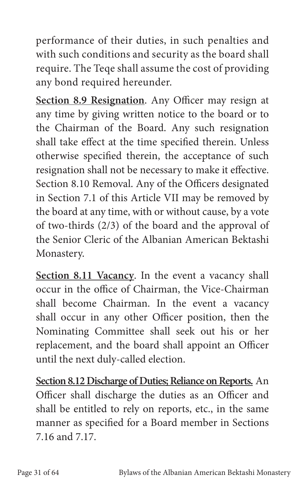performance of their duties, in such penalties and with such conditions and security as the board shall require. The Teqe shall assume the cost of providing any bond required hereunder.

**Section 8.9 Resignation**. Any Officer may resign at any time by giving written notice to the board or to the Chairman of the Board. Any such resignation shall take effect at the time specified therein. Unless otherwise specified therein, the acceptance of such resignation shall not be necessary to make it effective. Section 8.10 Removal. Any of the Officers designated in Section 7.1 of this Article VII may be removed by the board at any time, with or without cause, by a vote of two-thirds (2/3) of the board and the approval of the Senior Cleric of the Albanian American Bektashi Monastery.

**Section 8.11 Vacancy**. In the event a vacancy shall occur in the office of Chairman, the Vice-Chairman shall become Chairman. In the event a vacancy shall occur in any other Officer position, then the Nominating Committee shall seek out his or her replacement, and the board shall appoint an Officer until the next duly-called election.

**Section 8.12 Discharge of Duties; Reliance on Reports.** An Officer shall discharge the duties as an Officer and shall be entitled to rely on reports, etc., in the same manner as specified for a Board member in Sections 7.16 and 7.17.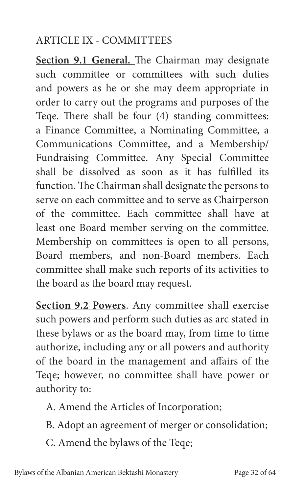## ARTICLE IX - COMMITTEES

**Section 9.1 General.** The Chairman may designate such committee or committees with such duties and powers as he or she may deem appropriate in order to carry out the programs and purposes of the Teqe. There shall be four (4) standing committees: a Finance Committee, a Nominating Committee, a Communications Committee, and a Membership/ Fundraising Committee. Any Special Committee shall be dissolved as soon as it has fulfilled its function. The Chairman shall designate the persons to serve on each committee and to serve as Chairperson of the committee. Each committee shall have at least one Board member serving on the committee. Membership on committees is open to all persons, Board members, and non-Board members. Each committee shall make such reports of its activities to the board as the board may request.

**Section 9.2 Powers**. Any committee shall exercise such powers and perform such duties as arc stated in these bylaws or as the board may, from time to time authorize, including any or all powers and authority of the board in the management and affairs of the Teqe; however, no committee shall have power or authority to:

A. Amend the Articles of Incorporation;

- B. Adopt an agreement of merger or consolidation;
- C. Amend the bylaws of the Teqe;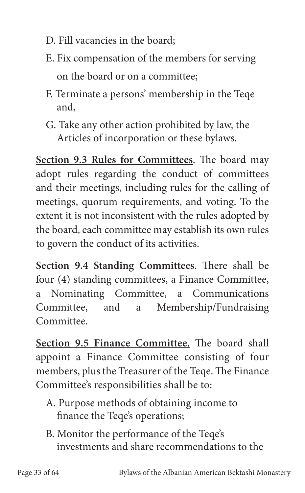- D. Fill vacancies in the board;
- E. Fix compensation of the members for serving on the board or on a committee;
- F. Terminate a persons' membership in the Teqe and,
- G. Take any other action prohibited by law, the Articles of incorporation or these bylaws.

**Section 9.3 Rules for Committees**. The board may adopt rules regarding the conduct of committees and their meetings, including rules for the calling of meetings, quorum requirements, and voting. To the extent it is not inconsistent with the rules adopted by the board, each committee may establish its own rules to govern the conduct of its activities.

**Section 9.4 Standing Committees**. There shall be four (4) standing committees, a Finance Committee, a Nominating Committee, a Communications Committee, and a Membership/Fundraising Committee.

**Section 9.5 Finance Committee.** The board shall appoint a Finance Committee consisting of four members, plus the Treasurer of the Teqe. The Finance Committee's responsibilities shall be to:

- A. Purpose methods of obtaining income to finance the Teqe's operations;
- B. Monitor the performance of the Teqe's investments and share recommendations to the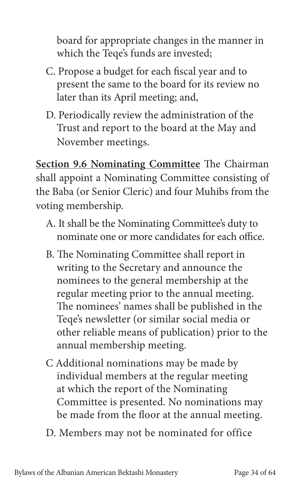board for appropriate changes in the manner in which the Teqe's funds are invested;

- C. Propose a budget for each fiscal year and to present the same to the board for its review no later than its April meeting; and,
- D. Periodically review the administration of the Trust and report to the board at the May and November meetings.

**Section 9.6 Nominating Committee** The Chairman shall appoint a Nominating Committee consisting of the Baba (or Senior Cleric) and four Muhibs from the voting membership.

- A. It shall be the Nominating Committee's duty to nominate one or more candidates for each office.
- B. The Nominating Committee shall report in writing to the Secretary and announce the nominees to the general membership at the regular meeting prior to the annual meeting. The nominees' names shall be published in the Teqe's newsletter (or similar social media or other reliable means of publication) prior to the annual membership meeting.
- C Additional nominations may be made by individual members at the regular meeting at which the report of the Nominating Committee is presented. No nominations may be made from the floor at the annual meeting.
- D. Members may not be nominated for office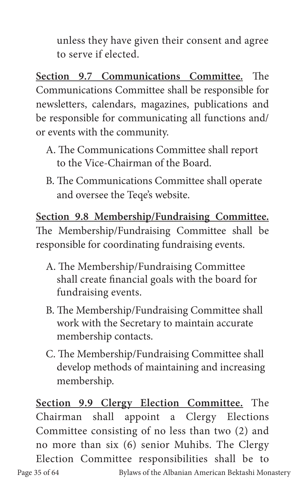unless they have given their consent and agree to serve if elected.

**Section 9.7 Communications Committee.** The Communications Committee shall be responsible for newsletters, calendars, magazines, publications and be responsible for communicating all functions and/ or events with the community.

- A. The Communications Committee shall report to the Vice-Chairman of the Board.
- B. The Communications Committee shall operate and oversee the Teqe's website.

**Section 9.8 Membership/Fundraising Committee.** The Membership/Fundraising Committee shall be responsible for coordinating fundraising events.

- A. The Membership/Fundraising Committee shall create financial goals with the board for fundraising events.
- B. The Membership/Fundraising Committee shall work with the Secretary to maintain accurate membership contacts.
- C. The Membership/Fundraising Committee shall develop methods of maintaining and increasing membership.

**Section 9.9 Clergy Election Committee.** The Chairman shall appoint a Clergy Elections Committee consisting of no less than two (2) and no more than six (6) senior Muhibs. The Clergy Election Committee responsibilities shall be to Page 35 of 64 Bylaws of the Albanian American Bektashi Monastery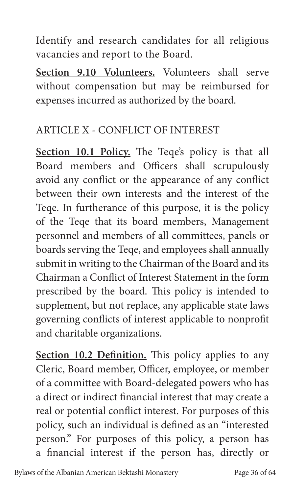Identify and research candidates for all religious vacancies and report to the Board.

**Section 9.10 Volunteers.** Volunteers shall serve without compensation but may be reimbursed for expenses incurred as authorized by the board.

## ARTICLE X - CONFLICT OF INTEREST

**Section 10.1 Policy.** The Teqe's policy is that all Board members and Officers shall scrupulously avoid any conflict or the appearance of any conflict between their own interests and the interest of the Teqe. In furtherance of this purpose, it is the policy of the Teqe that its board members, Management personnel and members of all committees, panels or boards serving the Teqe, and employees shall annually submit in writing to the Chairman of the Board and its Chairman a Conflict of Interest Statement in the form prescribed by the board. This policy is intended to supplement, but not replace, any applicable state laws governing conflicts of interest applicable to nonprofit and charitable organizations.

Section 10.2 Definition. This policy applies to any Cleric, Board member, Officer, employee, or member of a committee with Board-delegated powers who has a direct or indirect financial interest that may create a real or potential conflict interest. For purposes of this policy, such an individual is defined as an "interested person." For purposes of this policy, a person has a financial interest if the person has, directly or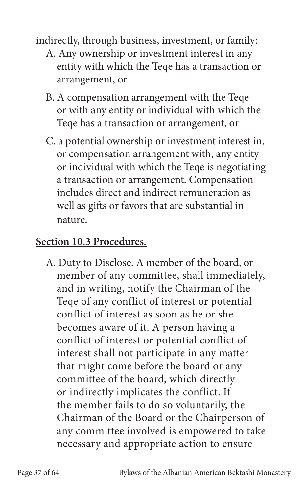indirectly, through business, investment, or family:

- A. Any ownership or investment interest in any entity with which the Teqe has a transaction or arrangement, or
- B. A compensation arrangement with the Teqe or with any entity or individual with which the Teqe has a transaction or arrangement, or
- C. a potential ownership or investment interest in, or compensation arrangement with, any entity or individual with which the Teqe is negotiating a transaction or arrangement. Compensation includes direct and indirect remuneration as well as gifts or favors that are substantial in nature.

#### **Section 10.3 Procedures.**

A. Duty to Disclose. A member of the board, or member of any committee, shall immediately, and in writing, notify the Chairman of the Teqe of any conflict of interest or potential conflict of interest as soon as he or she becomes aware of it. A person having a conflict of interest or potential conflict of interest shall not participate in any matter that might come before the board or any committee of the board, which directly or indirectly implicates the conflict. If the member fails to do so voluntarily, the Chairman of the Board or the Chairperson of any committee involved is empowered to take necessary and appropriate action to ensure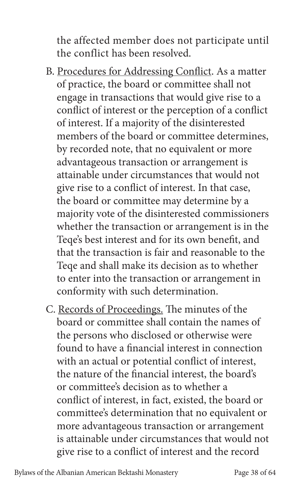the affected member does not participate until the conflict has been resolved.

- B. Procedures for Addressing Conflict. As a matter of practice, the board or committee shall not engage in transactions that would give rise to a conflict of interest or the perception of a conflict of interest. If a majority of the disinterested members of the board or committee determines, by recorded note, that no equivalent or more advantageous transaction or arrangement is attainable under circumstances that would not give rise to a conflict of interest. In that case, the board or committee may determine by a majority vote of the disinterested commissioners whether the transaction or arrangement is in the Teqe's best interest and for its own benefit, and that the transaction is fair and reasonable to the Teqe and shall make its decision as to whether to enter into the transaction or arrangement in conformity with such determination.
- C. Records of Proceedings. The minutes of the board or committee shall contain the names of the persons who disclosed or otherwise were found to have a financial interest in connection with an actual or potential conflict of interest, the nature of the financial interest, the board's or committee's decision as to whether a conflict of interest, in fact, existed, the board or committee's determination that no equivalent or more advantageous transaction or arrangement is attainable under circumstances that would not give rise to a conflict of interest and the record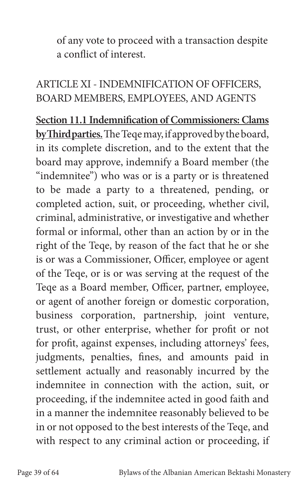of any vote to proceed with a transaction despite a conflict of interest.

ARTICLE XI - INDEMNIFICATION OF OFFICERS, BOARD MEMBERS, EMPLOYEES, AND AGENTS

**Section 11.1 Indemnification of Commissioners: Clams by Third parties.** The Teqe may, if approved by the board, in its complete discretion, and to the extent that the board may approve, indemnify a Board member (the "indemnitee") who was or is a party or is threatened to be made a party to a threatened, pending, or completed action, suit, or proceeding, whether civil, criminal, administrative, or investigative and whether formal or informal, other than an action by or in the right of the Teqe, by reason of the fact that he or she is or was a Commissioner, Officer, employee or agent of the Teqe, or is or was serving at the request of the Teqe as a Board member, Officer, partner, employee, or agent of another foreign or domestic corporation, business corporation, partnership, joint venture, trust, or other enterprise, whether for profit or not for profit, against expenses, including attorneys' fees, judgments, penalties, fines, and amounts paid in settlement actually and reasonably incurred by the indemnitee in connection with the action, suit, or proceeding, if the indemnitee acted in good faith and in a manner the indemnitee reasonably believed to be in or not opposed to the best interests of the Teqe, and with respect to any criminal action or proceeding, if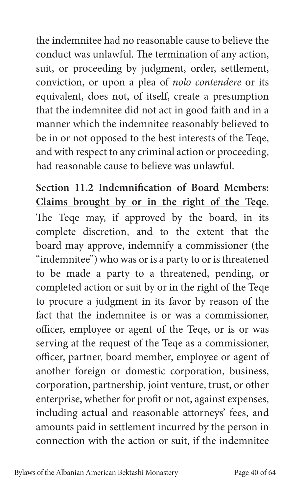the indemnitee had no reasonable cause to believe the conduct was unlawful. The termination of any action, suit, or proceeding by judgment, order, settlement, conviction, or upon a plea of *nolo contendere* or its equivalent, does not, of itself, create a presumption that the indemnitee did not act in good faith and in a manner which the indemnitee reasonably believed to be in or not opposed to the best interests of the Teqe, and with respect to any criminal action or proceeding, had reasonable cause to believe was unlawful.

**Section 11.2 Indemnification of Board Members: Claims brought by or in the right of the Teqe.**  The Teqe may, if approved by the board, in its complete discretion, and to the extent that the board may approve, indemnify a commissioner (the "indemnitee") who was or is a party to or is threatened to be made a party to a threatened, pending, or completed action or suit by or in the right of the Teqe to procure a judgment in its favor by reason of the fact that the indemnitee is or was a commissioner, officer, employee or agent of the Teqe, or is or was serving at the request of the Teqe as a commissioner, officer, partner, board member, employee or agent of another foreign or domestic corporation, business, corporation, partnership, joint venture, trust, or other enterprise, whether for profit or not, against expenses, including actual and reasonable attorneys' fees, and amounts paid in settlement incurred by the person in connection with the action or suit, if the indemnitee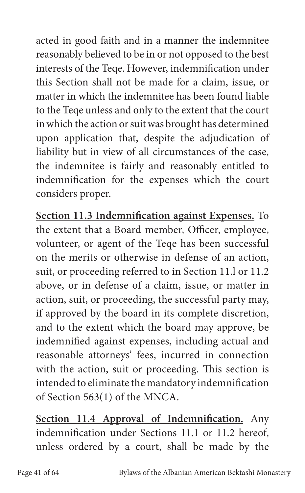acted in good faith and in a manner the indemnitee reasonably believed to be in or not opposed to the best interests of the Teqe. However, indemnification under this Section shall not be made for a claim, issue, or matter in which the indemnitee has been found liable to the Teqe unless and only to the extent that the court in which the action or suit was brought has determined upon application that, despite the adjudication of liability but in view of all circumstances of the case, the indemnitee is fairly and reasonably entitled to indemnification for the expenses which the court considers proper.

**Section 11.3 Indemnification against Expenses.** To the extent that a Board member, Officer, employee, volunteer, or agent of the Teqe has been successful on the merits or otherwise in defense of an action, suit, or proceeding referred to in Section 11.l or 11.2 above, or in defense of a claim, issue, or matter in action, suit, or proceeding, the successful party may, if approved by the board in its complete discretion, and to the extent which the board may approve, be indemnified against expenses, including actual and reasonable attorneys' fees, incurred in connection with the action, suit or proceeding. This section is intended to eliminate the mandatory indemnification of Section 563(1) of the MNCA.

**Section 11.4 Approval of Indemnification.** Any indemnification under Sections 11.1 or 11.2 hereof, unless ordered by a court, shall be made by the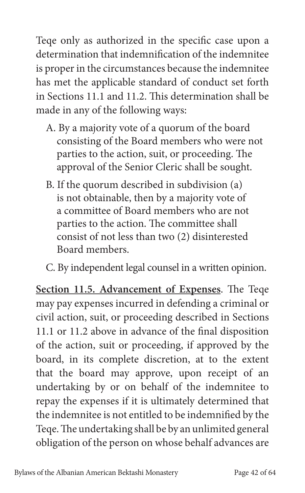Teqe only as authorized in the specific case upon a determination that indemnification of the indemnitee is proper in the circumstances because the indemnitee has met the applicable standard of conduct set forth in Sections 11.1 and 11.2. This determination shall be made in any of the following ways:

- A. By a majority vote of a quorum of the board consisting of the Board members who were not parties to the action, suit, or proceeding. The approval of the Senior Cleric shall be sought.
- B. If the quorum described in subdivision (a) is not obtainable, then by a majority vote of a committee of Board members who are not parties to the action. The committee shall consist of not less than two (2) disinterested Board members.
- C. By independent legal counsel in a written opinion.

**Section 11.5. Advancement of Expenses**. The Teqe may pay expenses incurred in defending a criminal or civil action, suit, or proceeding described in Sections 11.1 or 11.2 above in advance of the final disposition of the action, suit or proceeding, if approved by the board, in its complete discretion, at to the extent that the board may approve, upon receipt of an undertaking by or on behalf of the indemnitee to repay the expenses if it is ultimately determined that the indemnitee is not entitled to be indemnified by the Teqe. The undertaking shall be by an unlimited general obligation of the person on whose behalf advances are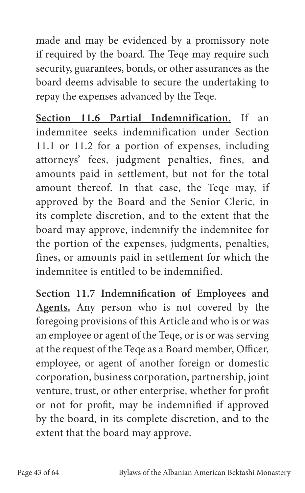made and may be evidenced by a promissory note if required by the board. The Teqe may require such security, guarantees, bonds, or other assurances as the board deems advisable to secure the undertaking to repay the expenses advanced by the Teqe.

**Section 11.6 Partial Indemnification.** If an indemnitee seeks indemnification under Section 11.1 or 11.2 for a portion of expenses, including attorneys' fees, judgment penalties, fines, and amounts paid in settlement, but not for the total amount thereof. In that case, the Teqe may, if approved by the Board and the Senior Cleric, in its complete discretion, and to the extent that the board may approve, indemnify the indemnitee for the portion of the expenses, judgments, penalties, fines, or amounts paid in settlement for which the indemnitee is entitled to be indemnified.

**Section 11.7 Indemnification of Employees and Agents.** Any person who is not covered by the foregoing provisions of this Article and who is or was an employee or agent of the Teqe, or is or was serving at the request of the Teqe as a Board member, Officer, employee, or agent of another foreign or domestic corporation, business corporation, partnership, joint venture, trust, or other enterprise, whether for profit or not for profit, may be indemnified if approved by the board, in its complete discretion, and to the extent that the board may approve.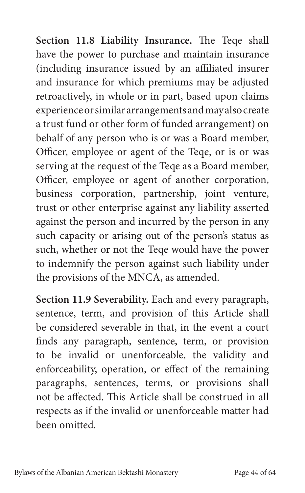**Section 11.8 Liability Insurance.** The Teqe shall have the power to purchase and maintain insurance (including insurance issued by an affiliated insurer and insurance for which premiums may be adjusted retroactively, in whole or in part, based upon claims experience or similar arrangements and may also create a trust fund or other form of funded arrangement) on behalf of any person who is or was a Board member, Officer, employee or agent of the Teqe, or is or was serving at the request of the Teqe as a Board member, Officer, employee or agent of another corporation, business corporation, partnership, joint venture, trust or other enterprise against any liability asserted against the person and incurred by the person in any such capacity or arising out of the person's status as such, whether or not the Teqe would have the power to indemnify the person against such liability under the provisions of the MNCA, as amended.

**Section 11.9 Severability.** Each and every paragraph, sentence, term, and provision of this Article shall be considered severable in that, in the event a court finds any paragraph, sentence, term, or provision to be invalid or unenforceable, the validity and enforceability, operation, or effect of the remaining paragraphs, sentences, terms, or provisions shall not be affected. This Article shall be construed in all respects as if the invalid or unenforceable matter had been omitted.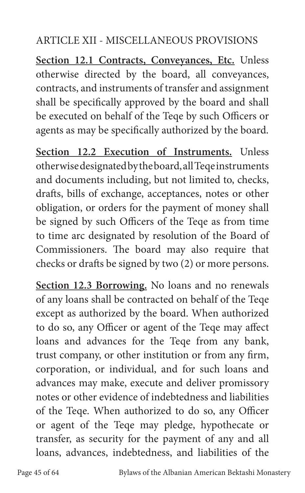## ARTICLE XII - MISCELLANEOUS PROVISIONS

**Section 12.1 Contracts, Conveyances, Etc.** Unless otherwise directed by the board, all conveyances, contracts, and instruments of transfer and assignment shall be specifically approved by the board and shall be executed on behalf of the Teqe by such Officers or agents as may be specifically authorized by the board.

**Section 12.2 Execution of Instruments.** Unless otherwise designated by the board, all Teqe instruments and documents including, but not limited to, checks, drafts, bills of exchange, acceptances, notes or other obligation, or orders for the payment of money shall be signed by such Officers of the Teqe as from time to time arc designated by resolution of the Board of Commissioners. The board may also require that checks or drafts be signed by two (2) or more persons.

**Section 12.3 Borrowing.** No loans and no renewals of any loans shall be contracted on behalf of the Teqe except as authorized by the board. When authorized to do so, any Officer or agent of the Teqe may affect loans and advances for the Teqe from any bank, trust company, or other institution or from any firm, corporation, or individual, and for such loans and advances may make, execute and deliver promissory notes or other evidence of indebtedness and liabilities of the Teqe. When authorized to do so, any Officer or agent of the Teqe may pledge, hypothecate or transfer, as security for the payment of any and all loans, advances, indebtedness, and liabilities of the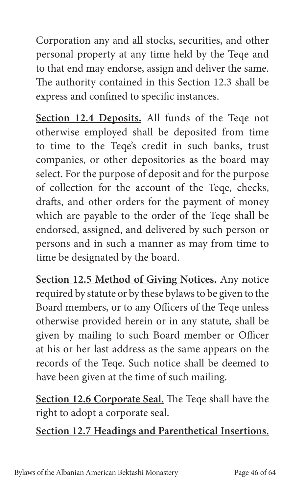Corporation any and all stocks, securities, and other personal property at any time held by the Teqe and to that end may endorse, assign and deliver the same. The authority contained in this Section 12.3 shall be express and confined to specific instances.

**Section 12.4 Deposits.** All funds of the Teqe not otherwise employed shall be deposited from time to time to the Teqe's credit in such banks, trust companies, or other depositories as the board may select. For the purpose of deposit and for the purpose of collection for the account of the Teqe, checks, drafts, and other orders for the payment of money which are payable to the order of the Teqe shall be endorsed, assigned, and delivered by such person or persons and in such a manner as may from time to time be designated by the board.

**Section 12.5 Method of Giving Notices.** Any notice required by statute or by these bylaws to be given to the Board members, or to any Officers of the Teqe unless otherwise provided herein or in any statute, shall be given by mailing to such Board member or Officer at his or her last address as the same appears on the records of the Teqe. Such notice shall be deemed to have been given at the time of such mailing.

**Section 12.6 Corporate Seal**. The Teqe shall have the right to adopt a corporate seal.

**Section 12.7 Headings and Parenthetical Insertions.**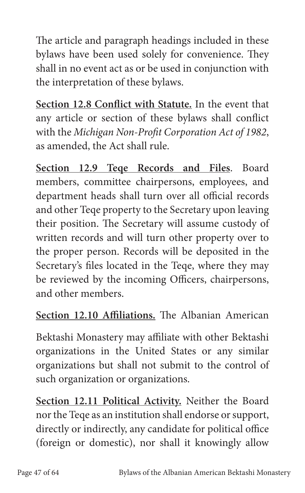The article and paragraph headings included in these bylaws have been used solely for convenience. They shall in no event act as or be used in conjunction with the interpretation of these bylaws.

**Section 12.8 Conflict with Statute.** In the event that any article or section of these bylaws shall conflict with the *Michigan Non-Profit Corporation Act of 1982*, as amended, the Act shall rule.

**Section 12.9 Teqe Records and Files**. Board members, committee chairpersons, employees, and department heads shall turn over all official records and other Teqe property to the Secretary upon leaving their position. The Secretary will assume custody of written records and will turn other property over to the proper person. Records will be deposited in the Secretary's files located in the Teqe, where they may be reviewed by the incoming Officers, chairpersons, and other members.

**Section 12.10 Affiliations.** The Albanian American

Bektashi Monastery may affiliate with other Bektashi organizations in the United States or any similar organizations but shall not submit to the control of such organization or organizations.

**Section 12.11 Political Activity.** Neither the Board nor the Teqe as an institution shall endorse or support, directly or indirectly, any candidate for political office (foreign or domestic), nor shall it knowingly allow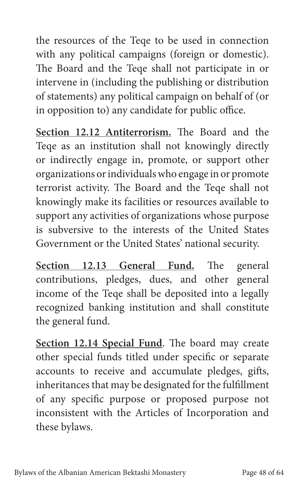the resources of the Teqe to be used in connection with any political campaigns (foreign or domestic). The Board and the Teqe shall not participate in or intervene in (including the publishing or distribution of statements) any political campaign on behalf of (or in opposition to) any candidate for public office.

**Section 12.12 Antiterrorism.** The Board and the Teqe as an institution shall not knowingly directly or indirectly engage in, promote, or support other organizations or individuals who engage in or promote terrorist activity. The Board and the Teqe shall not knowingly make its facilities or resources available to support any activities of organizations whose purpose is subversive to the interests of the United States Government or the United States' national security.

**Section 12.13 General Fund.** The general contributions, pledges, dues, and other general income of the Teqe shall be deposited into a legally recognized banking institution and shall constitute the general fund.

**Section 12.14 Special Fund**. The board may create other special funds titled under specific or separate accounts to receive and accumulate pledges, gifts, inheritances that may be designated for the fulfillment of any specific purpose or proposed purpose not inconsistent with the Articles of Incorporation and these bylaws.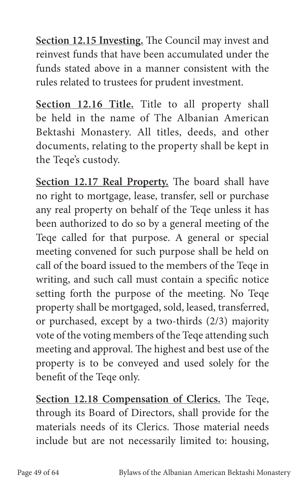**Section 12.15 Investing.** The Council may invest and reinvest funds that have been accumulated under the funds stated above in a manner consistent with the rules related to trustees for prudent investment.

**Section 12.16 Title.** Title to all property shall be held in the name of The Albanian American Bektashi Monastery. All titles, deeds, and other documents, relating to the property shall be kept in the Teqe's custody.

**Section 12.17 Real Property.** The board shall have no right to mortgage, lease, transfer, sell or purchase any real property on behalf of the Teqe unless it has been authorized to do so by a general meeting of the Teqe called for that purpose. A general or special meeting convened for such purpose shall be held on call of the board issued to the members of the Teqe in writing, and such call must contain a specific notice setting forth the purpose of the meeting. No Teqe property shall be mortgaged, sold, leased, transferred, or purchased, except by a two-thirds (2/3) majority vote of the voting members of the Teqe attending such meeting and approval. The highest and best use of the property is to be conveyed and used solely for the benefit of the Teqe only.

**Section 12.18 Compensation of Clerics.** The Teqe, through its Board of Directors, shall provide for the materials needs of its Clerics. Those material needs include but are not necessarily limited to: housing,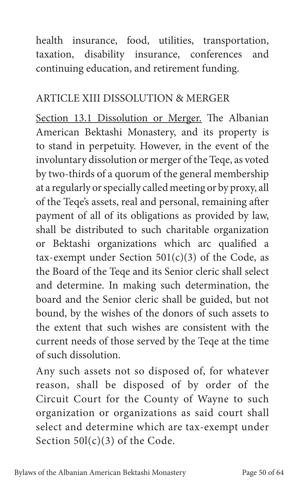health insurance, food, utilities, transportation, taxation, disability insurance, conferences and continuing education, and retirement funding.

## ARTICLE XIII DISSOLUTION & MERGER

Section 13.1 Dissolution or Merger. The Albanian American Bektashi Monastery, and its property is to stand in perpetuity. However, in the event of the involuntary dissolution or merger of the Teqe, as voted by two-thirds of a quorum of the general membership at a regularly or specially called meeting or by proxy, all of the Teqe's assets, real and personal, remaining after payment of all of its obligations as provided by law, shall be distributed to such charitable organization or Bektashi organizations which arc qualified a tax-exempt under Section  $501(c)(3)$  of the Code, as the Board of the Teqe and its Senior cleric shall select and determine. In making such determination, the board and the Senior cleric shall be guided, but not bound, by the wishes of the donors of such assets to the extent that such wishes are consistent with the current needs of those served by the Teqe at the time of such dissolution.

Any such assets not so disposed of, for whatever reason, shall be disposed of by order of the Circuit Court for the County of Wayne to such organization or organizations as said court shall select and determine which are tax-exempt under Section  $50l(c)(3)$  of the Code.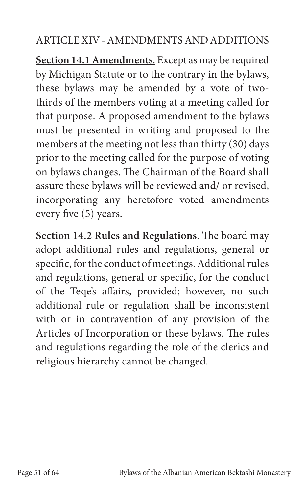## ARTICLE XIV - AMENDMENTS AND ADDITIONS

**Section 14.1 Amendments**. Except as may be required by Michigan Statute or to the contrary in the bylaws, these bylaws may be amended by a vote of twothirds of the members voting at a meeting called for that purpose. A proposed amendment to the bylaws must be presented in writing and proposed to the members at the meeting not less than thirty (30) days prior to the meeting called for the purpose of voting on bylaws changes. The Chairman of the Board shall assure these bylaws will be reviewed and/ or revised, incorporating any heretofore voted amendments every five (5) years.

**Section 14.2 Rules and Regulations**. The board may adopt additional rules and regulations, general or specific, for the conduct of meetings. Additional rules and regulations, general or specific, for the conduct of the Teqe's affairs, provided; however, no such additional rule or regulation shall be inconsistent with or in contravention of any provision of the Articles of Incorporation or these bylaws. The rules and regulations regarding the role of the clerics and religious hierarchy cannot be changed.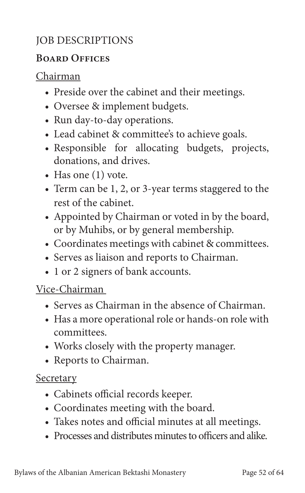## JOB DESCRIPTIONS

#### **Board Offices**

Chairman

- Preside over the cabinet and their meetings.
- Oversee & implement budgets.
- Run day-to-day operations.
- Lead cabinet & committee's to achieve goals.
- Responsible for allocating budgets, projects, donations, and drives.
- Has one (1) vote.
- Term can be 1, 2, or 3-year terms staggered to the rest of the cabinet.
- Appointed by Chairman or voted in by the board, or by Muhibs, or by general membership.
- Coordinates meetings with cabinet & committees.
- Serves as liaison and reports to Chairman.
- 1 or 2 signers of bank accounts.

#### Vice-Chairman

- Serves as Chairman in the absence of Chairman.
- Has a more operational role or hands-on role with committees.
- Works closely with the property manager.
- Reports to Chairman.

#### **Secretary**

- Cabinets official records keeper.
- Coordinates meeting with the board.
- Takes notes and official minutes at all meetings.
- Processes and distributes minutes to officers and alike.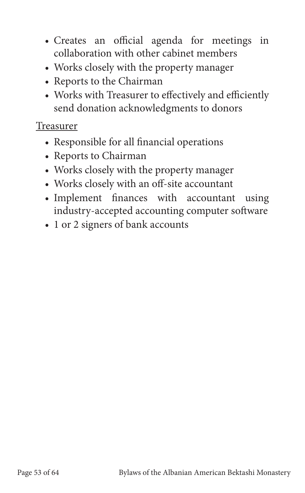- Creates an official agenda for meetings in collaboration with other cabinet members
- Works closely with the property manager
- Reports to the Chairman
- Works with Treasurer to effectively and efficiently send donation acknowledgments to donors

#### Treasurer

- Responsible for all financial operations
- Reports to Chairman
- Works closely with the property manager
- Works closely with an off-site accountant
- Implement finances with accountant using industry-accepted accounting computer software
- 1 or 2 signers of bank accounts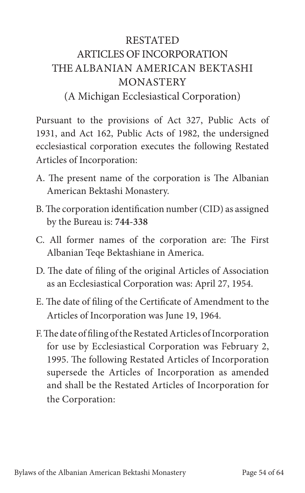## RESTATED ARTICLES OF INCORPORATION THE ALBANIAN AMERICAN BEKTASHI MONASTERY (A Michigan Ecclesiastical Corporation)

Pursuant to the provisions of Act 327, Public Acts of 1931, and Act 162, Public Acts of 1982, the undersigned ecclesiastical corporation executes the following Restated Articles of Incorporation:

- A. The present name of the corporation is The Albanian American Bektashi Monastery.
- B. The corporation identification number (CID) as assigned by the Bureau is: **744-338**
- C. All former names of the corporation are: The First Albanian Teqe Bektashiane in America.
- D. The date of filing of the original Articles of Association as an Ecclesiastical Corporation was: April 27, 1954.
- E. The date of filing of the Certificate of Amendment to the Articles of Incorporation was June 19, 1964.
- F. The date of filing of the Restated Articles of Incorporation for use by Ecclesiastical Corporation was February 2, 1995. The following Restated Articles of Incorporation supersede the Articles of Incorporation as amended and shall be the Restated Articles of Incorporation for the Corporation: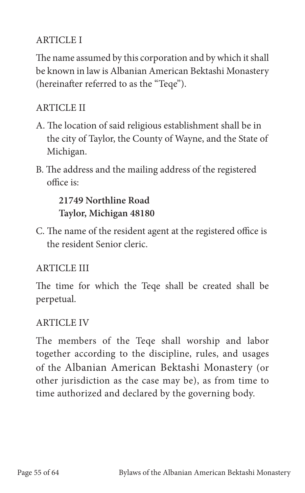#### ARTICLE I

The name assumed by this corporation and by which it shall be known in law is Albanian American Bektashi Monastery (hereinafter referred to as the "Teqe").

#### ARTICLE II

- A. The location of said religious establishment shall be in the city of Taylor, the County of Wayne, and the State of Michigan.
- B. The address and the mailing address of the registered office is:

#### **21749 Northline Road Taylor, Michigan 48180**

C. The name of the resident agent at the registered office is the resident Senior cleric.

#### ARTICLE III

The time for which the Teqe shall be created shall be perpetual.

#### ARTICLE IV

The members of the Teqe shall worship and labor together according to the discipline, rules, and usages of the Albanian American Bektashi Monastery (or other jurisdiction as the case may be), as from time to time authorized and declared by the governing body.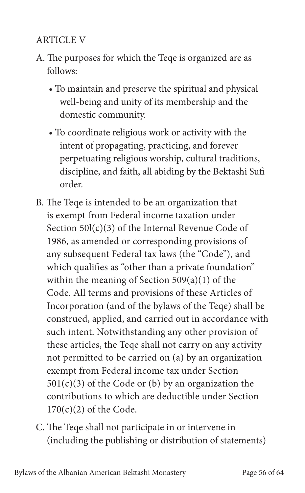#### ARTICLE V

- A. The purposes for which the Teqe is organized are as follows:
	- To maintain and preserve the spiritual and physical well-being and unity of its membership and the domestic community.
	- To coordinate religious work or activity with the intent of propagating, practicing, and forever perpetuating religious worship, cultural traditions, discipline, and faith, all abiding by the Bektashi Sufi order.
- B. The Teqe is intended to be an organization that is exempt from Federal income taxation under Section  $50l(c)(3)$  of the Internal Revenue Code of 1986, as amended or corresponding provisions of any subsequent Federal tax laws (the "Code"), and which qualifies as "other than a private foundation" within the meaning of Section 509(a)(1) of the Code. All terms and provisions of these Articles of Incorporation (and of the bylaws of the Teqe) shall be construed, applied, and carried out in accordance with such intent. Notwithstanding any other provision of these articles, the Teqe shall not carry on any activity not permitted to be carried on (a) by an organization exempt from Federal income tax under Section  $501(c)(3)$  of the Code or (b) by an organization the contributions to which are deductible under Section 170(c)(2) of the Code.
- C. The Teqe shall not participate in or intervene in (including the publishing or distribution of statements)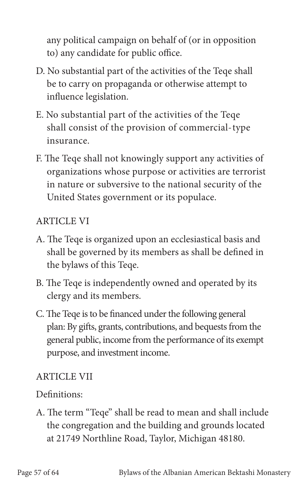any political campaign on behalf of (or in opposition to) any candidate for public office.

- D. No substantial part of the activities of the Teqe shall be to carry on propaganda or otherwise attempt to influence legislation.
- E. No substantial part of the activities of the Teqe shall consist of the provision of commercial-type insurance.
- F. The Teqe shall not knowingly support any activities of organizations whose purpose or activities are terrorist in nature or subversive to the national security of the United States government or its populace.

#### ARTICLE VI

- A. The Teqe is organized upon an ecclesiastical basis and shall be governed by its members as shall be defined in the bylaws of this Teqe.
- B. The Teqe is independently owned and operated by its clergy and its members.
- C. The Teqe is to be financed under the following general plan: By gifts, grants, contributions, and bequests from the general public, income from the performance of its exempt purpose, and investment income.

#### ARTICLE VII

#### Definitions:

A. The term "Teqe" shall be read to mean and shall include the congregation and the building and grounds located at 21749 Northline Road, Taylor, Michigan 48180.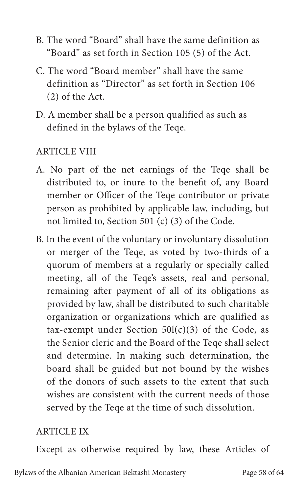- B. The word "Board" shall have the same definition as "Board" as set forth in Section 105 (5) of the Act.
- C. The word "Board member" shall have the same definition as "Director" as set forth in Section 106 (2) of the Act.
- D. A member shall be a person qualified as such as defined in the bylaws of the Teqe.

#### ARTICLE VIII

- A. No part of the net earnings of the Teqe shall be distributed to, or inure to the benefit of, any Board member or Officer of the Teqe contributor or private person as prohibited by applicable law, including, but not limited to, Section 501 (c) (3) of the Code.
- B. In the event of the voluntary or involuntary dissolution or merger of the Teqe, as voted by two-thirds of a quorum of members at a regularly or specially called meeting, all of the Teqe's assets, real and personal, remaining after payment of all of its obligations as provided by law, shall be distributed to such charitable organization or organizations which are qualified as tax-exempt under Section  $50l(c)(3)$  of the Code, as the Senior cleric and the Board of the Teqe shall select and determine. In making such determination, the board shall be guided but not bound by the wishes of the donors of such assets to the extent that such wishes are consistent with the current needs of those served by the Teqe at the time of such dissolution.

#### ARTICLE IX

Except as otherwise required by law, these Articles of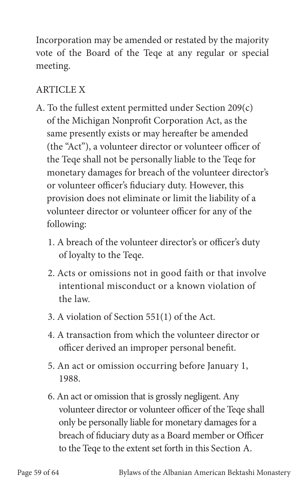Incorporation may be amended or restated by the majority vote of the Board of the Teqe at any regular or special meeting.

#### ARTICLE X

- A. To the fullest extent permitted under Section 209(c) of the Michigan Nonprofit Corporation Act, as the same presently exists or may hereafter be amended (the "Act"), a volunteer director or volunteer officer of the Teqe shall not be personally liable to the Teqe for monetary damages for breach of the volunteer director's or volunteer officer's fiduciary duty. However, this provision does not eliminate or limit the liability of a volunteer director or volunteer officer for any of the following:
	- 1. A breach of the volunteer director's or officer's duty of loyalty to the Teqe.
	- 2. Acts or omissions not in good faith or that involve intentional misconduct or a known violation of the law.
	- 3. A violation of Section 551(1) of the Act.
	- 4. A transaction from which the volunteer director or officer derived an improper personal benefit.
	- 5. An act or omission occurring before January 1, 1988.
	- 6. An act or omission that is grossly negligent. Any volunteer director or volunteer officer of the Teqe shall only be personally liable for monetary damages for a breach of fiduciary duty as a Board member or Officer to the Teqe to the extent set forth in this Section A.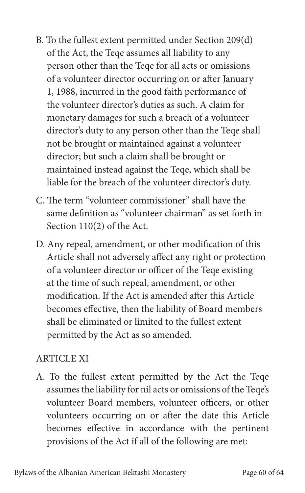- B. To the fullest extent permitted under Section 209(d) of the Act, the Teqe assumes all liability to any person other than the Teqe for all acts or omissions of a volunteer director occurring on or after January 1, 1988, incurred in the good faith performance of the volunteer director's duties as such. A claim for monetary damages for such a breach of a volunteer director's duty to any person other than the Teqe shall not be brought or maintained against a volunteer director; but such a claim shall be brought or maintained instead against the Teqe, which shall be liable for the breach of the volunteer director's duty.
- C. The term "volunteer commissioner" shall have the same definition as "volunteer chairman" as set forth in Section 110(2) of the Act.
- D. Any repeal, amendment, or other modification of this Article shall not adversely affect any right or protection of a volunteer director or officer of the Teqe existing at the time of such repeal, amendment, or other modification. If the Act is amended after this Article becomes effective, then the liability of Board members shall be eliminated or limited to the fullest extent permitted by the Act as so amended.

#### ARTICLE XI

A. To the fullest extent permitted by the Act the Teqe assumes the liability for nil acts or omissions of the Teqe's volunteer Board members, volunteer officers, or other volunteers occurring on or after the date this Article becomes effective in accordance with the pertinent provisions of the Act if all of the following are met: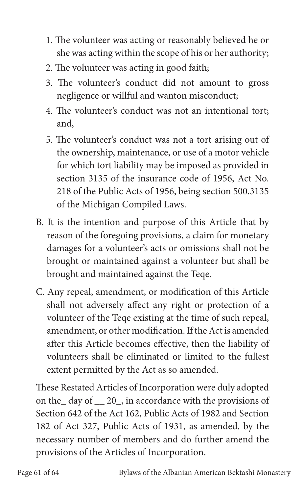- 1. The volunteer was acting or reasonably believed he or she was acting within the scope of his or her authority;
- 2. The volunteer was acting in good faith;
- 3. The volunteer's conduct did not amount to gross negligence or willful and wanton misconduct;
- 4. The volunteer's conduct was not an intentional tort; and,
- 5. The volunteer's conduct was not a tort arising out of the ownership, maintenance, or use of a motor vehicle for which tort liability may be imposed as provided in section 3135 of the insurance code of 1956, Act No. 218 of the Public Acts of 1956, being section 500.3135 of the Michigan Compiled Laws.
- B. It is the intention and purpose of this Article that by reason of the foregoing provisions, a claim for monetary damages for a volunteer's acts or omissions shall not be brought or maintained against a volunteer but shall be brought and maintained against the Teqe.
- C. Any repeal, amendment, or modification of this Article shall not adversely affect any right or protection of a volunteer of the Teqe existing at the time of such repeal, amendment, or other modification. If the Act is amended after this Article becomes effective, then the liability of volunteers shall be eliminated or limited to the fullest extent permitted by the Act as so amended.

These Restated Articles of Incorporation were duly adopted on the\_ day of \_\_ 20\_, in accordance with the provisions of Section 642 of the Act 162, Public Acts of 1982 and Section 182 of Act 327, Public Acts of 1931, as amended, by the necessary number of members and do further amend the provisions of the Articles of Incorporation.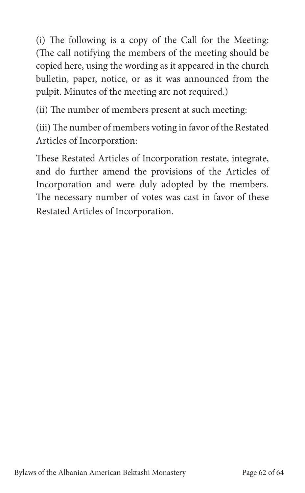(i) The following is a copy of the Call for the Meeting: (The call notifying the members of the meeting should be copied here, using the wording as it appeared in the church bulletin, paper, notice, or as it was announced from the pulpit. Minutes of the meeting arc not required.)

(ii) The number of members present at such meeting:

(iii) The number of members voting in favor of the Restated Articles of Incorporation:

These Restated Articles of Incorporation restate, integrate, and do further amend the provisions of the Articles of Incorporation and were duly adopted by the members. The necessary number of votes was cast in favor of these Restated Articles of Incorporation.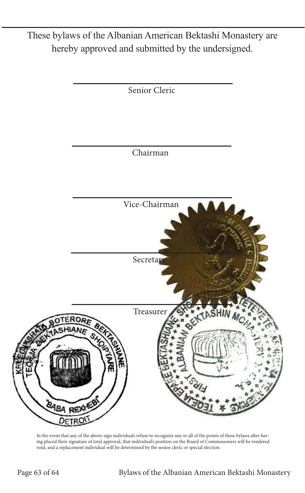## These bylaws of the Albanian American Bektashi Monastery are hereby approved and submitted by the undersigned.



In the event that any of the above-sign individuals refuse to recognize any or all of the points of these bylaws after having placed their signature of total approval, that individual's position on the Board of Commıssıoners will be rendered void, and a replacement individual will be determined by the senior cleric or special election.